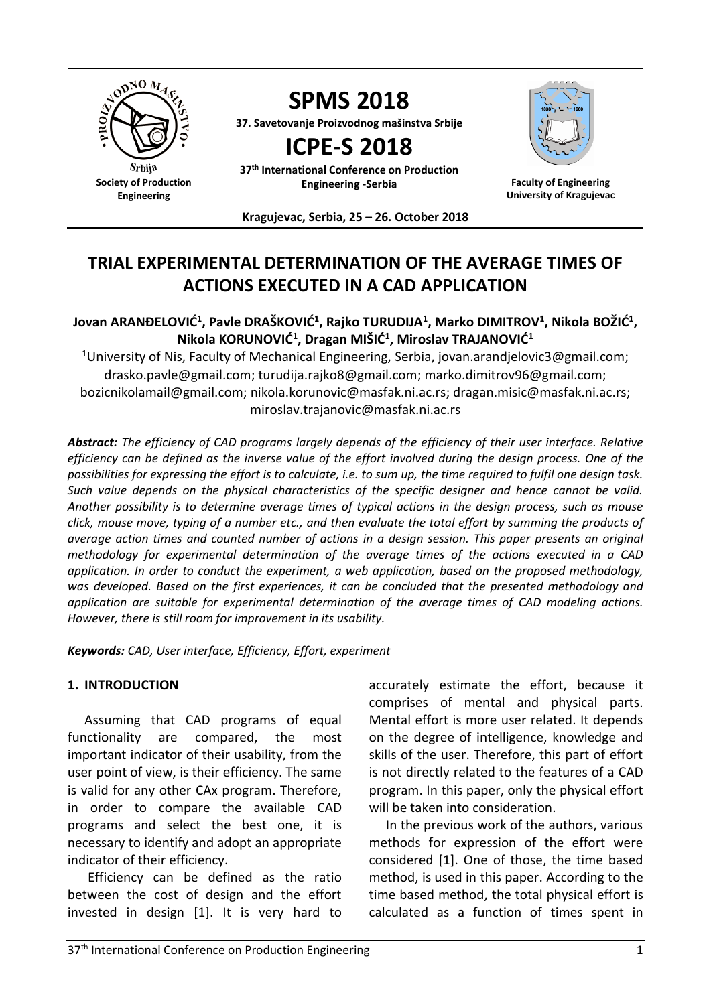

# **TRIAL EXPERIMENTAL DETERMINATION OF THE AVERAGE TIMES OF ACTIONS EXECUTED IN A CAD APPLICATION**

# $J$ ovan ARANĐELOVIĆ $^1$ , Pavle DRAŠKOVIĆ $^1$ , Rajko TURUDIJA $^1$ , Marko DIMITROV $^1$ , Nikola BOŽIĆ $^1$ , **Nikola KORUNOVIĆ<sup>1</sup> , Dragan MIŠIĆ<sup>1</sup> , Miroslav TRAJANOVIĆ<sup>1</sup>**

<sup>1</sup>University of Nis, Faculty of Mechanical Engineering, Serbia, jovan.arandjelovic3@gmail.com; drasko.pavle@gmail.com; turudija.rajko8@gmail.com; marko.dimitrov96@gmail.com; bozicnikolamail@gmail.com; nikola.korunovic@masfak.ni.ac.rs; dragan.misic@masfak.ni.ac.rs; miroslav.trajanovic@masfak.ni.ac.rs

*Abstract: The efficiency of CAD programs largely depends of the efficiency of their user interface. Relative efficiency can be defined as the inverse value of the effort involved during the design process. One of the possibilities for expressing the effort is to calculate, i.e. to sum up, the time required to fulfil one design task. Such value depends on the physical characteristics of the specific designer and hence cannot be valid. Another possibility is to determine average times of typical actions in the design process, such as mouse click, mouse move, typing of a number etc., and then evaluate the total effort by summing the products of average action times and counted number of actions in a design session. This paper presents an original methodology for experimental determination of the average times of the actions executed in a CAD application. In order to conduct the experiment, a web application, based on the proposed methodology, was developed. Based on the first experiences, it can be concluded that the presented methodology and application are suitable for experimental determination of the average times of CAD modeling actions. However, there is still room for improvement in its usability.*

*Keywords: CAD, User interface, Efficiency, Effort, experiment*

### **1. INTRODUCTION**

Assuming that CAD programs of equal functionality are compared, the most important indicator of their usability, from the user point of view, is their efficiency. The same is valid for any other CAx program. Therefore, in order to compare the available CAD programs and select the best one, it is necessary to identify and adopt an appropriate indicator of their efficiency.

Efficiency can be defined as the ratio between the cost of design and the effort invested in design [1]. It is very hard to accurately estimate the effort, because it comprises of mental and physical parts. Mental effort is more user related. It depends on the degree of intelligence, knowledge and skills of the user. Therefore, this part of effort is not directly related to the features of a CAD program. In this paper, only the physical effort will be taken into consideration.

In the previous work of the authors, various methods for expression of the effort were considered [1]. One of those, the time based method, is used in this paper. According to the time based method, the total physical effort is calculated as a function of times spent in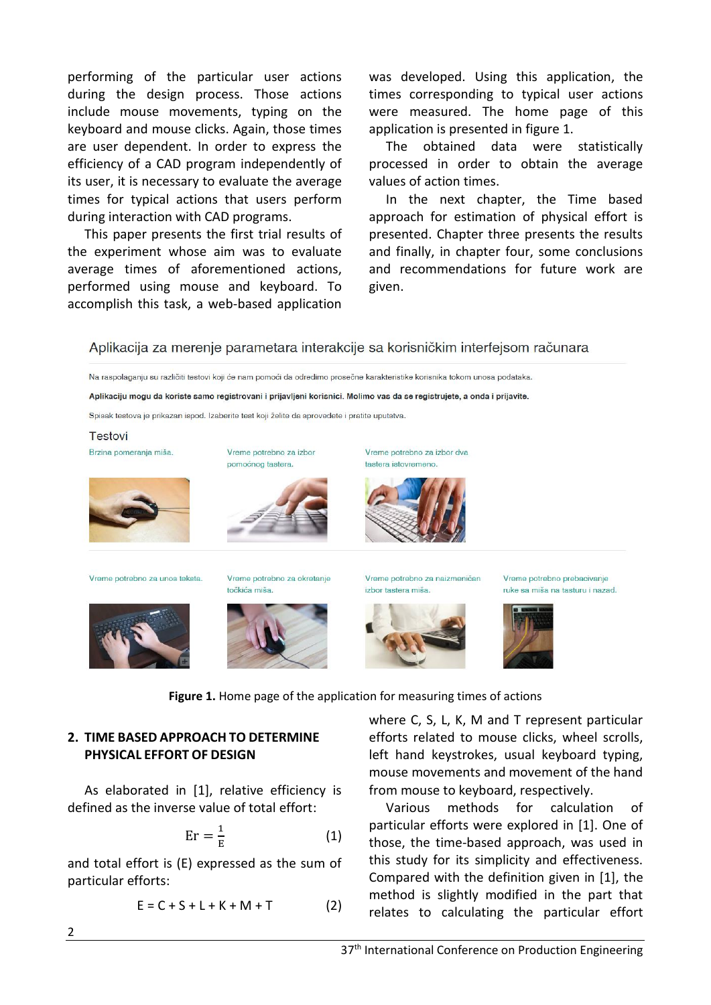performing of the particular user actions during the design process. Those actions include mouse movements, typing on the keyboard and mouse clicks. Again, those times are user dependent. In order to express the efficiency of a CAD program independently of its user, it is necessary to evaluate the average times for typical actions that users perform during interaction with CAD programs.

This paper presents the first trial results of the experiment whose aim was to evaluate average times of aforementioned actions, performed using mouse and keyboard. To accomplish this task, a web-based application was developed. Using this application, the times corresponding to typical user actions were measured. The home page of this application is presented in figure 1.

The obtained data were statistically processed in order to obtain the average values of action times.

In the next chapter, the Time based approach for estimation of physical effort is presented. Chapter three presents the results and finally, in chapter four, some conclusions and recommendations for future work are given.

Aplikacija za merenje parametara interakcije sa korisničkim interfejsom računara

Na raspolaganju su različiti testovi koji će nam pomoći da odredimo prosečne karakteristike korisnika tokom unosa podataka.

Aplikaciju mogu da koriste samo registrovani i prijavljeni korisnici. Molimo vas da se registrujete, a onda i prijavite.

Spisak testova je prikazan ispod. Izaberite test koji želite da sprovedete i pratite uputstva.

pomoćnog tastera.

Vreme potrebno za izbor

# **Testovi**

Brzina pomeranja miša.







Vreme potrebno za izbor dva

Vreme potrebno za unos teksta.







Vreme potrebno za naizmeničan izbor tastera miša.







**Figure 1.** Home page of the application for measuring times of actions

# **2. TIME BASED APPROACH TO DETERMINE PHYSICAL EFFORT OF DESIGN**

As elaborated in [1], relative efficiency is defined as the inverse value of total effort:

$$
Er = \frac{1}{E} \tag{1}
$$

and total effort is (E) expressed as the sum of particular efforts:

$$
E = C + S + L + K + M + T \tag{2}
$$

where C, S, L, K, M and T represent particular efforts related to mouse clicks, wheel scrolls, left hand keystrokes, usual keyboard typing, mouse movements and movement of the hand from mouse to keyboard, respectively.

Various methods for calculation of particular efforts were explored in [1]. One of those, the time-based approach, was used in this study for its simplicity and effectiveness. Compared with the definition given in [1], the method is slightly modified in the part that relates to calculating the particular effort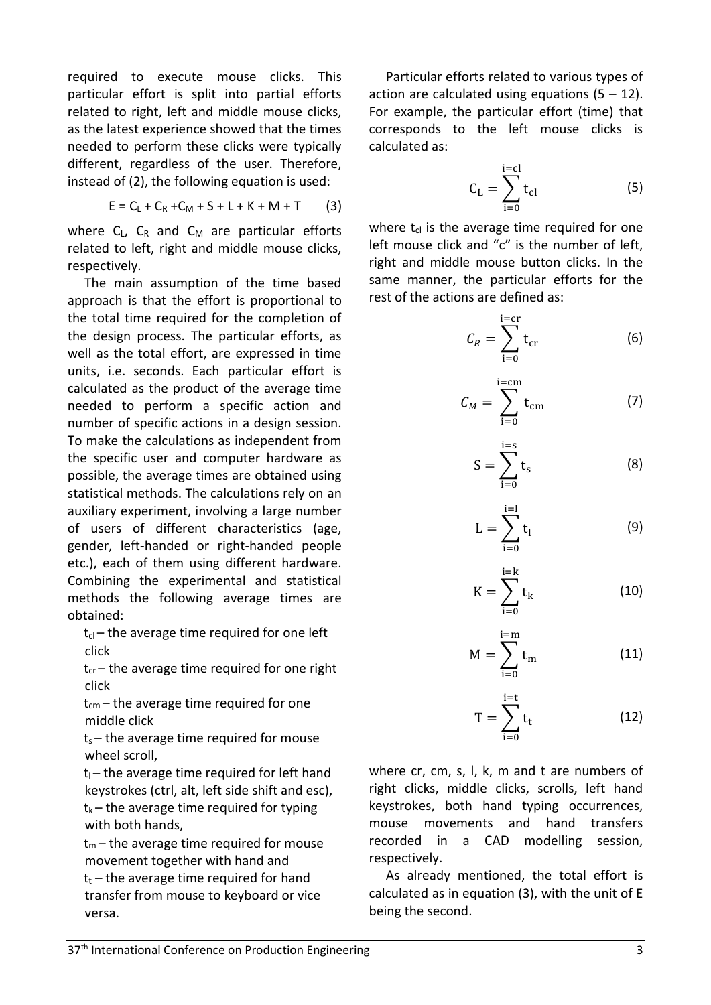required to execute mouse clicks. This particular effort is split into partial efforts related to right, left and middle mouse clicks, as the latest experience showed that the times needed to perform these clicks were typically different, regardless of the user. Therefore, instead of (2), the following equation is used:

$$
E = C_L + C_R + C_M + S + L + K + M + T
$$
 (3)

where  $C_L$ ,  $C_R$  and  $C_M$  are particular efforts related to left, right and middle mouse clicks, respectively.

The main assumption of the time based approach is that the effort is proportional to the total time required for the completion of the design process. The particular efforts, as well as the total effort, are expressed in time units, i.e. seconds. Each particular effort is calculated as the product of the average time needed to perform a specific action and number of specific actions in a design session. To make the calculations as independent from the specific user and computer hardware as possible, the average times are obtained using statistical methods. The calculations rely on an auxiliary experiment, involving a large number of users of different characteristics (age, gender, left-handed or right-handed people etc.), each of them using different hardware. Combining the experimental and statistical methods the following average times are obtained:

 $t_{cl}$  – the average time required for one left click

 $t_{cr}$  – the average time required for one right click

 $t_{cm}$  – the average time required for one middle click

 $t_s$  – the average time required for mouse wheel scroll,

 $t<sub>l</sub>$  – the average time required for left hand keystrokes (ctrl, alt, left side shift and esc),  $t_k$  – the average time required for typing with both hands,

 $t_m$  – the average time required for mouse movement together with hand and  $t_t$  – the average time required for hand transfer from mouse to keyboard or vice versa.

Particular efforts related to various types of action are calculated using equations  $(5 - 12)$ . For example, the particular effort (time) that corresponds to the left mouse clicks is calculated as:

$$
C_{L} = \sum_{i=0}^{i=cl} t_{cl}
$$
 (5)

where  $t_{cl}$  is the average time required for one left mouse click and "c" is the number of left, right and middle mouse button clicks. In the same manner, the particular efforts for the rest of the actions are defined as:

$$
C_R = \sum_{i=0}^{i=cr} t_{cr} \tag{6}
$$

$$
C_M = \sum_{i=0}^{i=\text{cm}} t_{\text{cm}} \tag{7}
$$

$$
S = \sum_{i=0}^{i=s} t_s
$$
 (8)

$$
L = \sum_{i=0}^{i=1} t_i
$$
 (9)

$$
K = \sum_{i=0}^{i=k} t_k
$$
 (10)

$$
M = \sum_{i=0}^{i=m} t_m
$$
 (11)

$$
T = \sum_{i=0}^{i=t} t_t
$$
 (12)

where cr, cm, s, l, k, m and t are numbers of right clicks, middle clicks, scrolls, left hand keystrokes, both hand typing occurrences, mouse movements and hand transfers recorded in a CAD modelling session, respectively.

As already mentioned, the total effort is calculated as in equation (3), with the unit of E being the second.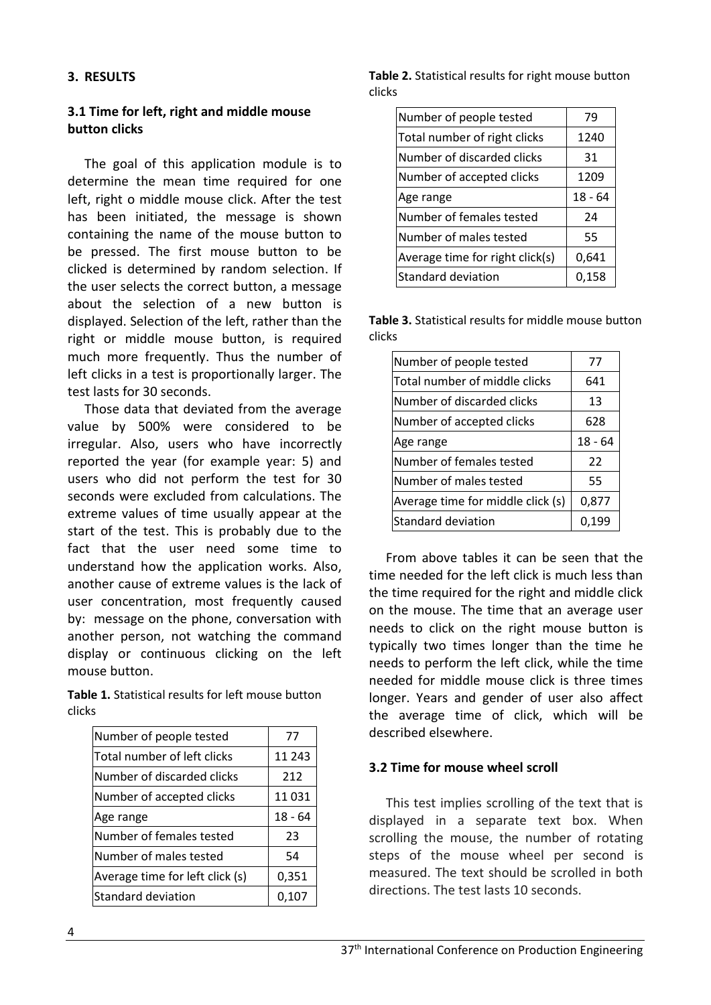### **3. RESULTS**

# **3.1 Time for left, right and middle mouse button clicks**

The goal of this application module is to determine the mean time required for one left, right o middle mouse click. After the test has been initiated, the message is shown containing the name of the mouse button to be pressed. The first mouse button to be clicked is determined by random selection. If the user selects the correct button, a message about the selection of a new button is displayed. Selection of the left, rather than the right or middle mouse button, is required much more frequently. Thus the number of left clicks in a test is proportionally larger. The test lasts for 30 seconds.

Those data that deviated from the average value by 500% were considered to be irregular. Also, users who have incorrectly reported the year (for example year: 5) and users who did not perform the test for 30 seconds were excluded from calculations. The extreme values of time usually appear at the start of the test. This is probably due to the fact that the user need some time to understand how the application works. Also, another cause of extreme values is the lack of user concentration, most frequently caused by: message on the phone, conversation with another person, not watching the command display or continuous clicking on the left mouse button.

**Table 1.** Statistical results for left mouse button clicks

| Number of people tested         | 77        |
|---------------------------------|-----------|
| Total number of left clicks     | 11 243    |
| Number of discarded clicks      | 212       |
| Number of accepted clicks       | 11031     |
| Age range                       | $18 - 64$ |
| Number of females tested        | 23        |
| Number of males tested          | 54        |
| Average time for left click (s) | 0,351     |
| Standard deviation              | 0.107     |

**Table 2.** Statistical results for right mouse button clicks

| Number of people tested         | 79        |
|---------------------------------|-----------|
| Total number of right clicks    | 1240      |
| Number of discarded clicks      | 31        |
| Number of accepted clicks       | 1209      |
| Age range                       | $18 - 64$ |
| Number of females tested        | 24        |
| Number of males tested          | 55        |
| Average time for right click(s) | 0,641     |
| Standard deviation              | 0,158     |

**Table 3.** Statistical results for middle mouse button clicks

| Number of people tested           | 77        |
|-----------------------------------|-----------|
| Total number of middle clicks     | 641       |
| Number of discarded clicks        | 13        |
| Number of accepted clicks         | 628       |
| Age range                         | $18 - 64$ |
| Number of females tested          | 22        |
| Number of males tested            | 55        |
| Average time for middle click (s) | 0,877     |
| Standard deviation                | 0,199     |

From above tables it can be seen that the time needed for the left click is much less than the time required for the right and middle click on the mouse. The time that an average user needs to click on the right mouse button is typically two times longer than the time he needs to perform the left click, while the time needed for middle mouse click is three times longer. Years and gender of user also affect the average time of click, which will be described elsewhere.

### **3.2 Time for mouse wheel scroll**

This test implies scrolling of the text that is displayed in a separate text box. When scrolling the mouse, the number of rotating steps of the mouse wheel per second is measured. The text should be scrolled in both directions. The test lasts 10 seconds.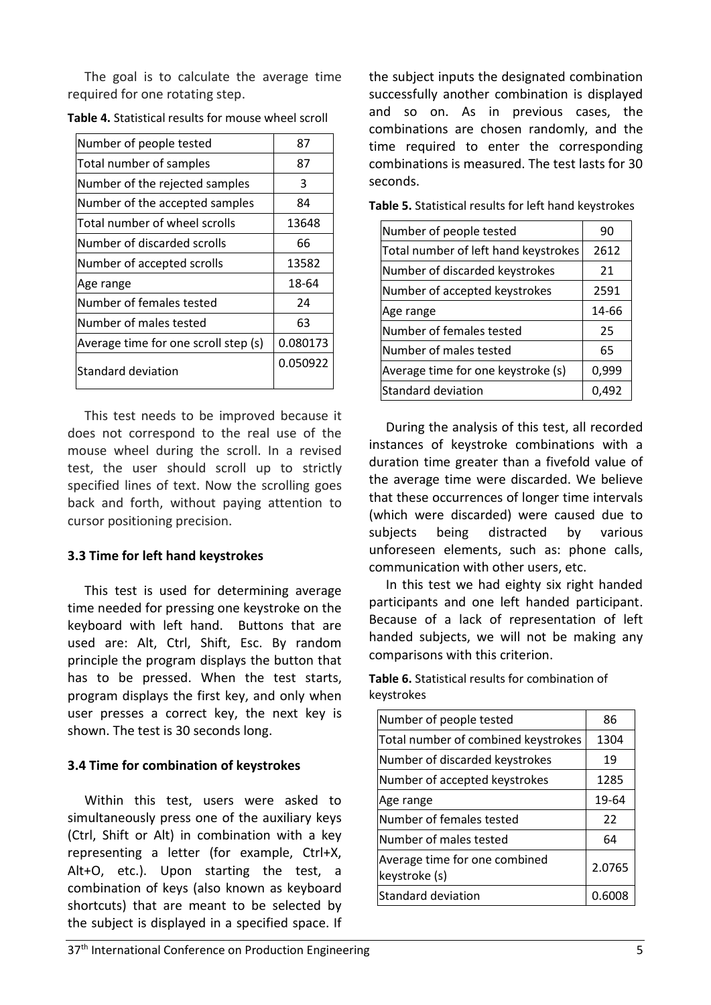The goal is to calculate the average time required for one rotating step.

| Number of people tested              | 87       |
|--------------------------------------|----------|
| Total number of samples              | 87       |
| Number of the rejected samples       | 3        |
| Number of the accepted samples       | 84       |
| Total number of wheel scrolls        | 13648    |
| Number of discarded scrolls          | 66       |
| Number of accepted scrolls           | 13582    |
| Age range                            | 18-64    |
| Number of females tested             | 24       |
| Number of males tested               | 63       |
| Average time for one scroll step (s) | 0.080173 |
| Standard deviation                   | 0.050922 |

**Table 4.** Statistical results for mouse wheel scroll

This test needs to be improved because it does not correspond to the real use of the mouse wheel during the scroll. In a revised test, the user should scroll up to strictly specified lines of text. Now the scrolling goes back and forth, without paying attention to cursor positioning precision.

### **3.3 Time for left hand keystrokes**

This test is used for determining average time needed for pressing one keystroke on the keyboard with left hand. Buttons that are used are: Alt, Ctrl, Shift, Esc. By random principle the program displays the button that has to be pressed. When the test starts, program displays the first key, and only when user presses a correct key, the next key is shown. The test is 30 seconds long.

#### **3.4 Time for combination of keystrokes**

Within this test, users were asked to simultaneously press one of the auxiliary keys (Ctrl, Shift or Alt) in combination with a key representing a letter (for example, Ctrl+X, Alt+O, etc.). Upon starting the test, a combination of keys (also known as keyboard shortcuts) that are meant to be selected by the subject is displayed in a specified space. If the subject inputs the designated combination successfully another combination is displayed and so on. As in previous cases, the combinations are chosen randomly, and the time required to enter the corresponding combinations is measured. The test lasts for 30 seconds.

| Number of people tested              | 90    |
|--------------------------------------|-------|
| Total number of left hand keystrokes | 2612  |
| Number of discarded keystrokes       | 21    |
| Number of accepted keystrokes        | 2591  |
| Age range                            | 14-66 |
| Number of females tested             | 25    |
| Number of males tested               | 65    |
| Average time for one keystroke (s)   | 0,999 |
| Standard deviation                   | 0,492 |

**Table 5.** Statistical results for left hand keystrokes

During the analysis of this test, all recorded instances of keystroke combinations with a duration time greater than a fivefold value of the average time were discarded. We believe that these occurrences of longer time intervals (which were discarded) were caused due to subjects being distracted by various unforeseen elements, such as: phone calls, communication with other users, etc.

In this test we had eighty six right handed participants and one left handed participant. Because of a lack of representation of left handed subjects, we will not be making any comparisons with this criterion.

**Table 6.** Statistical results for combination of keystrokes

| Number of people tested                        | 86     |
|------------------------------------------------|--------|
| Total number of combined keystrokes            | 1304   |
| Number of discarded keystrokes                 | 19     |
| Number of accepted keystrokes                  | 1285   |
| Age range                                      | 19-64  |
| Number of females tested                       | 22     |
| Number of males tested                         | 64     |
| Average time for one combined<br>keystroke (s) | 2.0765 |
| <b>Standard deviation</b>                      | 0.60   |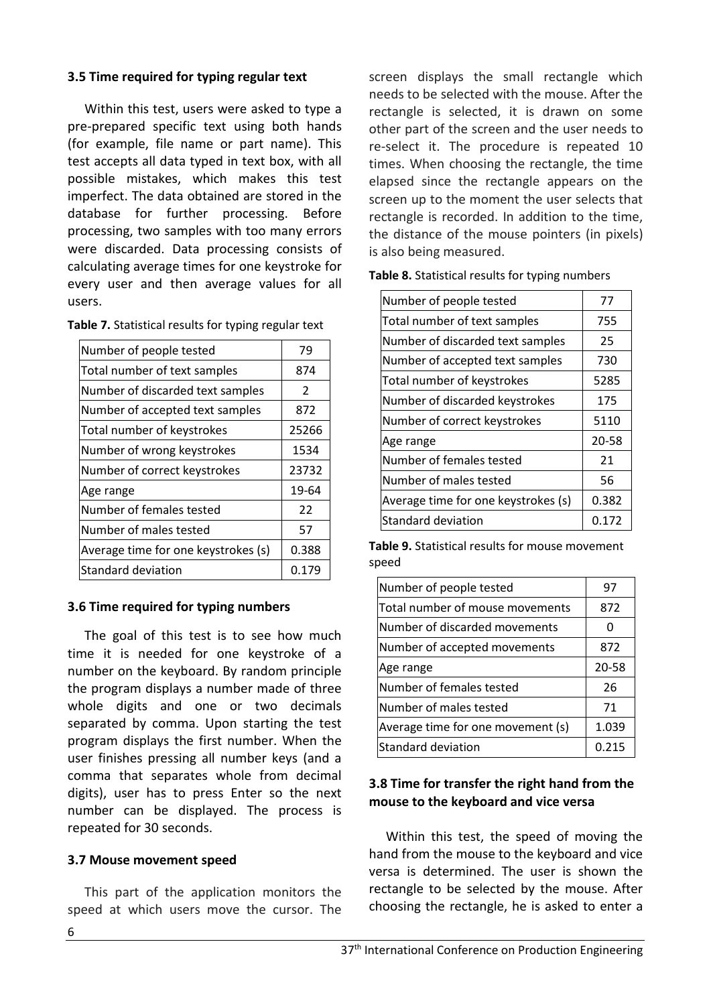# **3.5 Time required for typing regular text**

Within this test, users were asked to type a pre-prepared specific text using both hands (for example, file name or part name). This test accepts all data typed in text box, with all possible mistakes, which makes this test imperfect. The data obtained are stored in the database for further processing. Before processing, two samples with too many errors were discarded. Data processing consists of calculating average times for one keystroke for every user and then average values for all users.

| Number of people tested             | 79    |
|-------------------------------------|-------|
| Total number of text samples        | 874   |
| Number of discarded text samples    | 2     |
| Number of accepted text samples     | 872   |
| Total number of keystrokes          | 25266 |
| Number of wrong keystrokes          | 1534  |
| Number of correct keystrokes        | 23732 |
| Age range                           | 19-64 |
| Number of females tested            | 22    |
| Number of males tested              | 57    |
| Average time for one keystrokes (s) | 0.388 |
| <b>Standard deviation</b>           | 0.179 |

# **3.6 Time required for typing numbers**

The goal of this test is to see how much time it is needed for one keystroke of a number on the keyboard. By random principle the program displays a number made of three whole digits and one or two decimals separated by comma. Upon starting the test program displays the first number. When the user finishes pressing all number keys (and a comma that separates whole from decimal digits), user has to press Enter so the next number can be displayed. The process is repeated for 30 seconds.

# **3.7 Mouse movement speed**

This part of the application monitors the speed at which users move the cursor. The screen displays the small rectangle which needs to be selected with the mouse. After the rectangle is selected, it is drawn on some other part of the screen and the user needs to re-select it. The procedure is repeated 10 times. When choosing the rectangle, the time elapsed since the rectangle appears on the screen up to the moment the user selects that rectangle is recorded. In addition to the time, the distance of the mouse pointers (in pixels) is also being measured.

| Number of people tested             | 77    |
|-------------------------------------|-------|
| Total number of text samples        | 755   |
| Number of discarded text samples    | 25    |
| Number of accepted text samples     | 730   |
| Total number of keystrokes          | 5285  |
| Number of discarded keystrokes      | 175   |
| Number of correct keystrokes        | 5110  |
| Age range                           | 20-58 |
| Number of females tested            | 21    |
| Number of males tested              | 56    |
| Average time for one keystrokes (s) | 0.382 |
| <b>Standard deviation</b>           | 0.172 |

**Table 8.** Statistical results for typing numbers

**Table 9.** Statistical results for mouse movement speed

| Number of people tested           | 97    |
|-----------------------------------|-------|
| Total number of mouse movements   | 872   |
| Number of discarded movements     | O     |
| Number of accepted movements      | 872   |
| Age range                         | 20-58 |
| Number of females tested          | 26    |
| Number of males tested            | 71    |
| Average time for one movement (s) | 1.039 |
| <b>Standard deviation</b>         | 0.215 |

# **3.8 Time for transfer the right hand from the mouse to the keyboard and vice versa**

Within this test, the speed of moving the hand from the mouse to the keyboard and vice versa is determined. The user is shown the rectangle to be selected by the mouse. After choosing the rectangle, he is asked to enter a